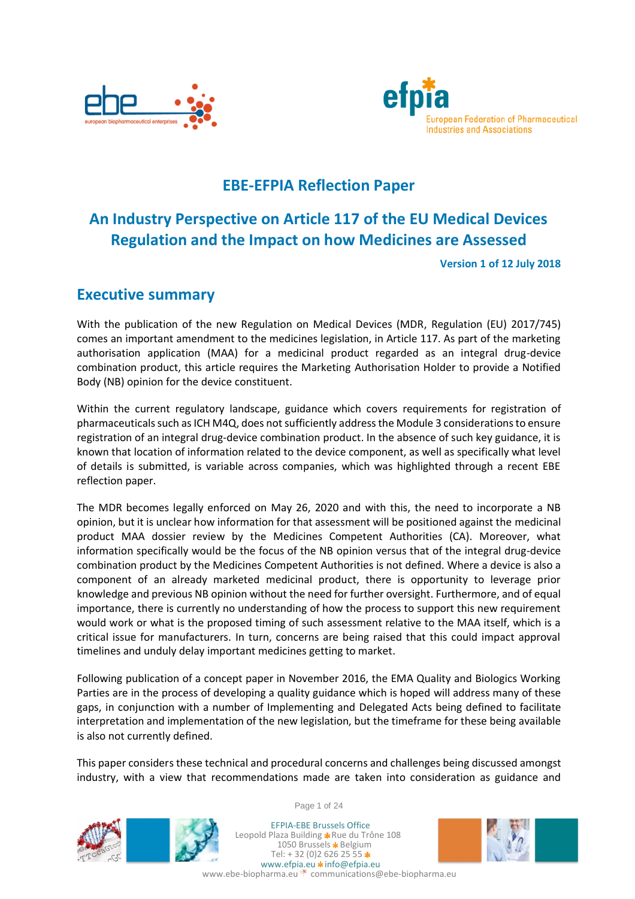



# **EBE-EFPIA Reflection Paper**

# **An Industry Perspective on Article 117 of the EU Medical Devices Regulation and the Impact on how Medicines are Assessed**

**Version 1 of 12 July 2018**

# <span id="page-0-0"></span>**Executive summary**

With the publication of the new Regulation on Medical Devices (MDR, Regulation (EU) 2017/745) comes an important amendment to the medicines legislation, in Article 117. As part of the marketing authorisation application (MAA) for a medicinal product regarded as an integral drug-device combination product, this article requires the Marketing Authorisation Holder to provide a Notified Body (NB) opinion for the device constituent.

Within the current regulatory landscape, guidance which covers requirements for registration of pharmaceuticals such as ICH M4Q, does not sufficiently address the Module 3 considerations to ensure registration of an integral drug-device combination product. In the absence of such key guidance, it is known that location of information related to the device component, as well as specifically what level of details is submitted, is variable across companies, which was highlighted through a recent EBE reflection paper.

The MDR becomes legally enforced on May 26, 2020 and with this, the need to incorporate a NB opinion, but it is unclear how information for that assessment will be positioned against the medicinal product MAA dossier review by the Medicines Competent Authorities (CA). Moreover, what information specifically would be the focus of the NB opinion versus that of the integral drug-device combination product by the Medicines Competent Authorities is not defined. Where a device is also a component of an already marketed medicinal product, there is opportunity to leverage prior knowledge and previous NB opinion without the need for further oversight. Furthermore, and of equal importance, there is currently no understanding of how the process to support this new requirement would work or what is the proposed timing of such assessment relative to the MAA itself, which is a critical issue for manufacturers. In turn, concerns are being raised that this could impact approval timelines and unduly delay important medicines getting to market.

Following publication of a concept paper in November 2016, the EMA Quality and Biologics Working Parties are in the process of developing a quality guidance which is hoped will address many of these gaps, in conjunction with a number of Implementing and Delegated Acts being defined to facilitate interpretation and implementation of the new legislation, but the timeframe for these being available is also not currently defined.

This paper considers these technical and procedural concerns and challenges being discussed amongst industry, with a view that recommendations made are taken into consideration as guidance and





Page 1 of 24

EFPIA-EBE Brussels Office Leopold Plaza Building \* Rue du Trône 108 1050 Brussels \* Belgium Tel:  $+32(0)26262555*$ www.efpia.eu \* info@efpia.eu www.ebe-biopharma.eu communications@ebe-biopharma.eu

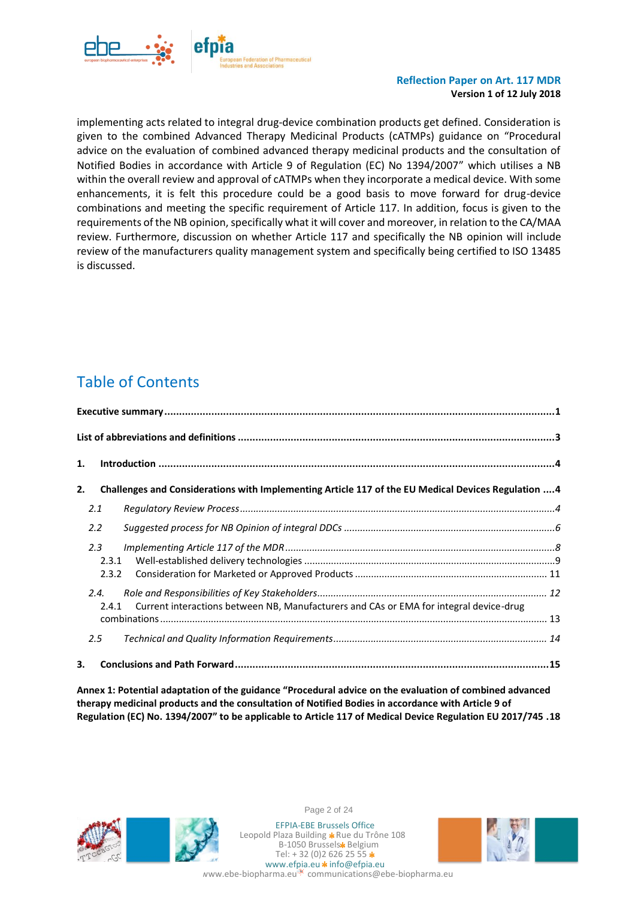

implementing acts related to integral drug-device combination products get defined. Consideration is given to the combined Advanced Therapy Medicinal Products (cATMPs) guidance on "Procedural advice on the evaluation of combined advanced therapy medicinal products and the consultation of Notified Bodies in accordance with Article 9 of Regulation (EC) No 1394/2007" which utilises a NB within the overall review and approval of cATMPs when they incorporate a medical device. With some enhancements, it is felt this procedure could be a good basis to move forward for drug-device combinations and meeting the specific requirement of Article 117. In addition, focus is given to the requirements of the NB opinion, specifically what it will cover and moreover, in relation to the CA/MAA review. Furthermore, discussion on whether Article 117 and specifically the NB opinion will include review of the manufacturers quality management system and specifically being certified to ISO 13485 is discussed.

# Table of Contents

| 1.                                                                                                        |  |
|-----------------------------------------------------------------------------------------------------------|--|
| Challenges and Considerations with Implementing Article 117 of the EU Medical Devices Regulation  4<br>2. |  |
| 2.1                                                                                                       |  |
| 2.2                                                                                                       |  |
| 2.3<br>2.3.1                                                                                              |  |
| 2.3.2                                                                                                     |  |
| 2.4.<br>Current interactions between NB, Manufacturers and CAs or EMA for integral device-drug<br>2.4.1   |  |
|                                                                                                           |  |
| 2.5                                                                                                       |  |
| З.                                                                                                        |  |

**[Annex 1: Potential adaptation of the guidance "Procedural advice](#page-18-0) on the evaluation of combined advanced [therapy medicinal products and the consultation of Notified Bodies in accordance with Article 9 of](#page-18-0)  Regulation (EC) No. [1394/2007" to be applicable to Article 117 of Medical Device Regulation EU 2017/745](#page-18-0) .18**



Page 2 of 24





www.efpia.eu \* info@efpia.eu ww.ebe-biopharma.eu communications@ebe-biopharma.eu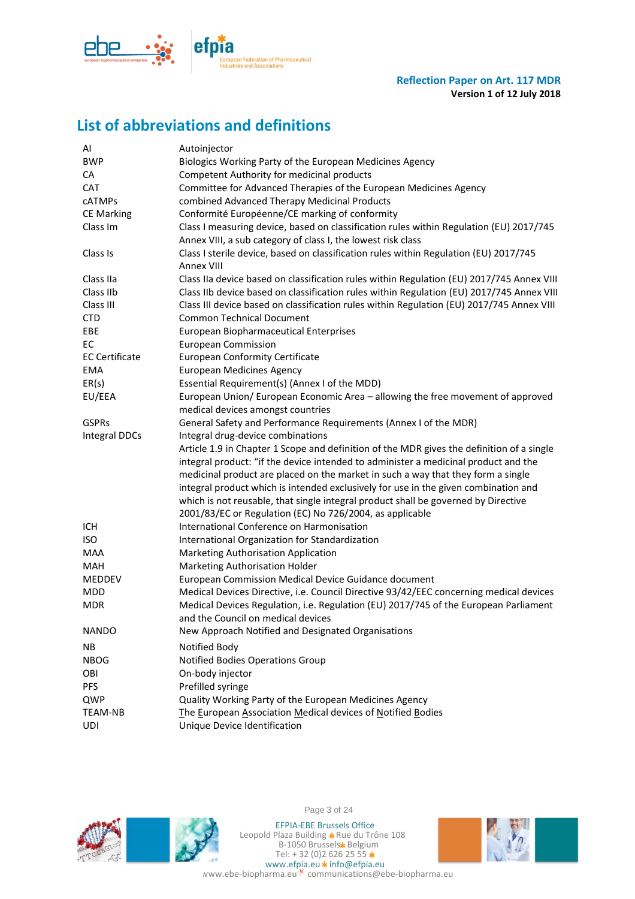

# <span id="page-2-0"></span>**List of abbreviations and definitions**

| AI                    | Autoinjector                                                                                                                                                                                                                                                                                                                                                                                                                                                                                                  |
|-----------------------|---------------------------------------------------------------------------------------------------------------------------------------------------------------------------------------------------------------------------------------------------------------------------------------------------------------------------------------------------------------------------------------------------------------------------------------------------------------------------------------------------------------|
| <b>BWP</b>            | Biologics Working Party of the European Medicines Agency                                                                                                                                                                                                                                                                                                                                                                                                                                                      |
| СA                    | Competent Authority for medicinal products                                                                                                                                                                                                                                                                                                                                                                                                                                                                    |
| <b>CAT</b>            | Committee for Advanced Therapies of the European Medicines Agency                                                                                                                                                                                                                                                                                                                                                                                                                                             |
| <b>CATMPs</b>         | combined Advanced Therapy Medicinal Products                                                                                                                                                                                                                                                                                                                                                                                                                                                                  |
| <b>CE Marking</b>     | Conformité Européenne/CE marking of conformity                                                                                                                                                                                                                                                                                                                                                                                                                                                                |
| Class Im              | Class I measuring device, based on classification rules within Regulation (EU) 2017/745<br>Annex VIII, a sub category of class I, the lowest risk class                                                                                                                                                                                                                                                                                                                                                       |
| Class Is              | Class I sterile device, based on classification rules within Regulation (EU) 2017/745<br>Annex VIII                                                                                                                                                                                                                                                                                                                                                                                                           |
| Class IIa             | Class IIa device based on classification rules within Regulation (EU) 2017/745 Annex VIII                                                                                                                                                                                                                                                                                                                                                                                                                     |
| Class IIb             | Class IIb device based on classification rules within Regulation (EU) 2017/745 Annex VIII                                                                                                                                                                                                                                                                                                                                                                                                                     |
| Class III             | Class III device based on classification rules within Regulation (EU) 2017/745 Annex VIII                                                                                                                                                                                                                                                                                                                                                                                                                     |
| <b>CTD</b>            | <b>Common Technical Document</b>                                                                                                                                                                                                                                                                                                                                                                                                                                                                              |
| EBE                   | European Biopharmaceutical Enterprises                                                                                                                                                                                                                                                                                                                                                                                                                                                                        |
| EC                    | <b>European Commission</b>                                                                                                                                                                                                                                                                                                                                                                                                                                                                                    |
| <b>EC Certificate</b> | <b>European Conformity Certificate</b>                                                                                                                                                                                                                                                                                                                                                                                                                                                                        |
| <b>EMA</b>            | <b>European Medicines Agency</b>                                                                                                                                                                                                                                                                                                                                                                                                                                                                              |
| ER(s)                 | Essential Requirement(s) (Annex I of the MDD)                                                                                                                                                                                                                                                                                                                                                                                                                                                                 |
| EU/EEA                | European Union/ European Economic Area - allowing the free movement of approved                                                                                                                                                                                                                                                                                                                                                                                                                               |
|                       | medical devices amongst countries                                                                                                                                                                                                                                                                                                                                                                                                                                                                             |
| <b>GSPRs</b>          | General Safety and Performance Requirements (Annex I of the MDR)                                                                                                                                                                                                                                                                                                                                                                                                                                              |
| <b>Integral DDCs</b>  | Integral drug-device combinations                                                                                                                                                                                                                                                                                                                                                                                                                                                                             |
|                       | Article 1.9 in Chapter 1 Scope and definition of the MDR gives the definition of a single<br>integral product: "if the device intended to administer a medicinal product and the<br>medicinal product are placed on the market in such a way that they form a single<br>integral product which is intended exclusively for use in the given combination and<br>which is not reusable, that single integral product shall be governed by Directive<br>2001/83/EC or Regulation (EC) No 726/2004, as applicable |
| ICH                   | International Conference on Harmonisation                                                                                                                                                                                                                                                                                                                                                                                                                                                                     |
| <b>ISO</b>            | International Organization for Standardization                                                                                                                                                                                                                                                                                                                                                                                                                                                                |
| <b>MAA</b>            | Marketing Authorisation Application                                                                                                                                                                                                                                                                                                                                                                                                                                                                           |
| <b>MAH</b>            | Marketing Authorisation Holder                                                                                                                                                                                                                                                                                                                                                                                                                                                                                |
| MEDDEV                | European Commission Medical Device Guidance document                                                                                                                                                                                                                                                                                                                                                                                                                                                          |
| <b>MDD</b>            | Medical Devices Directive, i.e. Council Directive 93/42/EEC concerning medical devices                                                                                                                                                                                                                                                                                                                                                                                                                        |
| <b>MDR</b>            | Medical Devices Regulation, i.e. Regulation (EU) 2017/745 of the European Parliament<br>and the Council on medical devices                                                                                                                                                                                                                                                                                                                                                                                    |
| <b>NANDO</b>          | New Approach Notified and Designated Organisations                                                                                                                                                                                                                                                                                                                                                                                                                                                            |
| ΝB                    | Notified Body                                                                                                                                                                                                                                                                                                                                                                                                                                                                                                 |
| <b>NBOG</b>           | Notified Bodies Operations Group                                                                                                                                                                                                                                                                                                                                                                                                                                                                              |
| OBI                   | On-body injector                                                                                                                                                                                                                                                                                                                                                                                                                                                                                              |
| <b>PFS</b>            | Prefilled syringe                                                                                                                                                                                                                                                                                                                                                                                                                                                                                             |
| QWP                   | Quality Working Party of the European Medicines Agency                                                                                                                                                                                                                                                                                                                                                                                                                                                        |
| TEAM-NB               | The European Association Medical devices of Notified Bodies                                                                                                                                                                                                                                                                                                                                                                                                                                                   |
| UDI                   | Unique Device Identification                                                                                                                                                                                                                                                                                                                                                                                                                                                                                  |



Page 3 of 24

EFPIA-EBE Brussels Office Leopold Plaza Building \*Rue du Trône 108 B-1050 Brussels\* Belgium Tel: + 32 (0)2 626 25 55 www.efpia.eu \* info@efpia.eu



www.ebe-biopharma.eu<sup>\*</sup> communications@ebe-biopharma.eu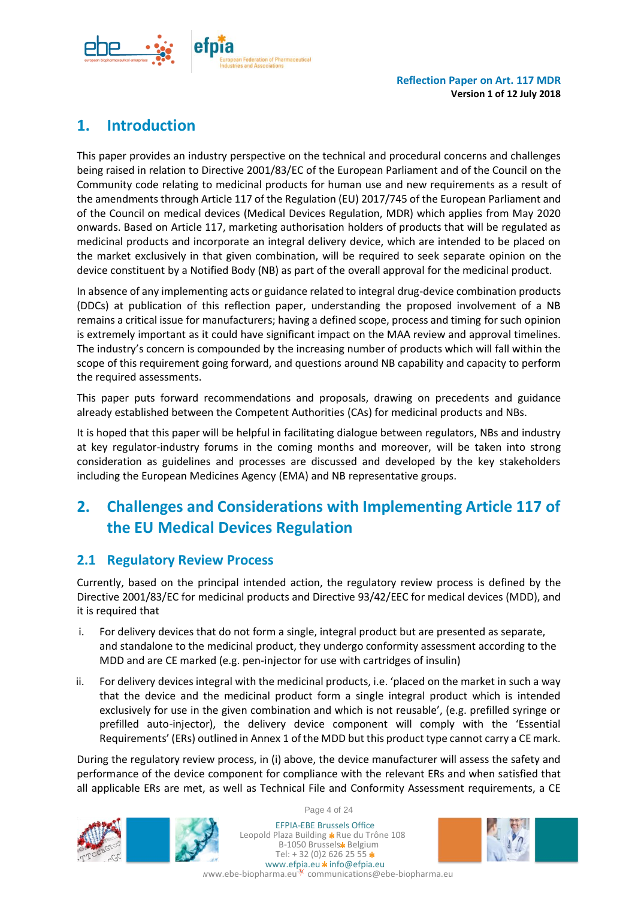

# <span id="page-3-0"></span>**1. Introduction**

This paper provides an industry perspective on the technical and procedural concerns and challenges being raised in relation to Directive 2001/83/EC of the European Parliament and of the Council on the Community code relating to medicinal products for human use and new requirements as a result of the amendments through Article 117 of the Regulation (EU) 2017/745 of the European Parliament and of the Council on medical devices (Medical Devices Regulation, MDR) which applies from May 2020 onwards. Based on Article 117, marketing authorisation holders of products that will be regulated as medicinal products and incorporate an integral delivery device, which are intended to be placed on the market exclusively in that given combination, will be required to seek separate opinion on the device constituent by a Notified Body (NB) as part of the overall approval for the medicinal product.

In absence of any implementing acts or guidance related to integral drug-device combination products (DDCs) at publication of this reflection paper, understanding the proposed involvement of a NB remains a critical issue for manufacturers; having a defined scope, process and timing for such opinion is extremely important as it could have significant impact on the MAA review and approval timelines. The industry's concern is compounded by the increasing number of products which will fall within the scope of this requirement going forward, and questions around NB capability and capacity to perform the required assessments.

This paper puts forward recommendations and proposals, drawing on precedents and guidance already established between the Competent Authorities (CAs) for medicinal products and NBs.

It is hoped that this paper will be helpful in facilitating dialogue between regulators, NBs and industry at key regulator-industry forums in the coming months and moreover, will be taken into strong consideration as guidelines and processes are discussed and developed by the key stakeholders including the European Medicines Agency (EMA) and NB representative groups.

# <span id="page-3-1"></span>**2. Challenges and Considerations with Implementing Article 117 of the EU Medical Devices Regulation**

## <span id="page-3-2"></span>**2.1 Regulatory Review Process**

Currently, based on the principal intended action, the regulatory review process is defined by the Directive 2001/83/EC for medicinal products and Directive 93/42/EEC for medical devices (MDD), and it is required that

- i. For delivery devices that do not form a single, integral product but are presented as separate, and standalone to the medicinal product, they undergo conformity assessment according to the MDD and are CE marked (e.g. pen-injector for use with cartridges of insulin)
- ii. For delivery devices integral with the medicinal products, i.e. 'placed on the market in such a way that the device and the medicinal product form a single integral product which is intended exclusively for use in the given combination and which is not reusable', (e.g. prefilled syringe or prefilled auto-injector), the delivery device component will comply with the 'Essential Requirements' (ERs) outlined in Annex 1 of the MDD but this product type cannot carry a CE mark.

During the regulatory review process, in (i) above, the device manufacturer will assess the safety and performance of the device component for compliance with the relevant ERs and when satisfied that all applicable ERs are met, as well as Technical File and Conformity Assessment requirements, a CE





Page 4 of 24

EFPIA-EBE Brussels Office Leopold Plaza Building \* Rue du Trône 108 B-1050 Brussels\* Belgium Tel:  $+32(0)26262555*$ www.efpia.eu \* info@efpia.eu

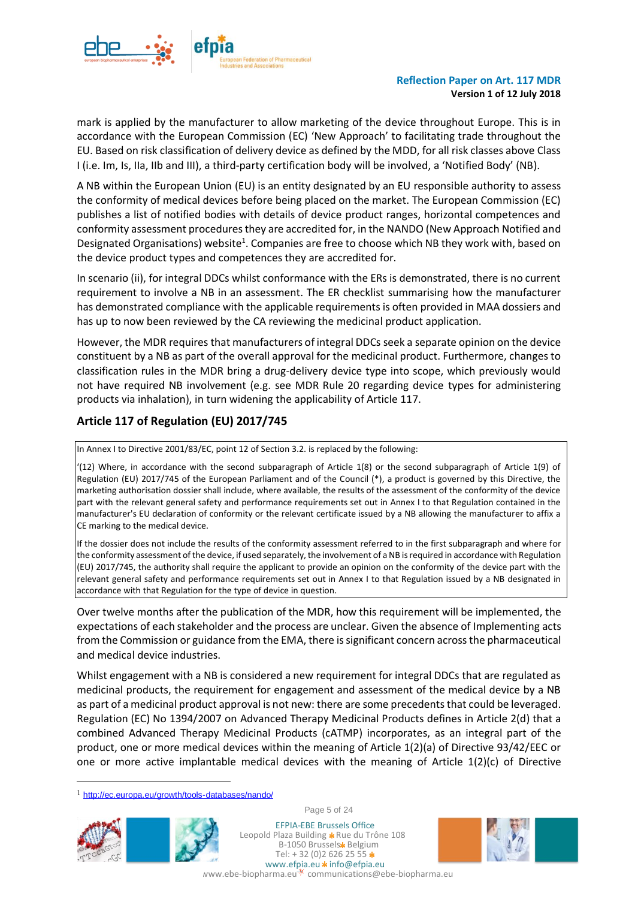

mark is applied by the manufacturer to allow marketing of the device throughout Europe. This is in accordance with the European Commission (EC) 'New Approach' to facilitating trade throughout the EU. Based on risk classification of delivery device as defined by the MDD, for all risk classes above Class I (i.e. Im, Is, IIa, IIb and III), a third-party certification body will be involved, a 'Notified Body' (NB).

A NB within the European Union (EU) is an entity designated by an EU responsible authority to assess the conformity of medical devices before being placed on the market. The European Commission (EC) publishes a list of notified bodies with details of device product ranges, horizontal competences and conformity assessment procedures they are accredited for, in the NANDO (New Approach Notified and Designated Organisations) website<sup>1</sup>. Companies are free to choose which NB they work with, based on the device product types and competences they are accredited for.

In scenario (ii), for integral DDCs whilst conformance with the ERs is demonstrated, there is no current requirement to involve a NB in an assessment. The ER checklist summarising how the manufacturer has demonstrated compliance with the applicable requirements is often provided in MAA dossiers and has up to now been reviewed by the CA reviewing the medicinal product application.

However, the MDR requires that manufacturers of integral DDCs seek a separate opinion on the device constituent by a NB as part of the overall approval for the medicinal product. Furthermore, changes to classification rules in the MDR bring a drug-delivery device type into scope, which previously would not have required NB involvement (e.g. see MDR Rule 20 regarding device types for administering products via inhalation), in turn widening the applicability of Article 117.

### **Article 117 of Regulation (EU) 2017/745**

In Annex I to Directive 2001/83/EC, point 12 of Section 3.2. is replaced by the following:

'(12) Where, in accordance with the second subparagraph of Article 1(8) or the second subparagraph of Article 1(9) of Regulation (EU) 2017/745 of the European Parliament and of the Council (\*), a product is governed by this Directive, the marketing authorisation dossier shall include, where available, the results of the assessment of the conformity of the device part with the relevant general safety and performance requirements set out in Annex I to that Regulation contained in the manufacturer's EU declaration of conformity or the relevant certificate issued by a NB allowing the manufacturer to affix a CE marking to the medical device.

If the dossier does not include the results of the conformity assessment referred to in the first subparagraph and where for the conformity assessment of the device, if used separately, the involvement of a NB is required in accordance with Regulation (EU) 2017/745, the authority shall require the applicant to provide an opinion on the conformity of the device part with the relevant general safety and performance requirements set out in Annex I to that Regulation issued by a NB designated in accordance with that Regulation for the type of device in question.

Over twelve months after the publication of the MDR, how this requirement will be implemented, the expectations of each stakeholder and the process are unclear. Given the absence of Implementing acts from the Commission or guidance from the EMA, there issignificant concern across the pharmaceutical and medical device industries.

Whilst engagement with a NB is considered a new requirement for integral DDCs that are regulated as medicinal products, the requirement for engagement and assessment of the medical device by a NB as part of a medicinal product approval is not new: there are some precedents that could be leveraged. Regulation (EC) No 1394/2007 on Advanced Therapy Medicinal Products defines in Article 2(d) that a combined Advanced Therapy Medicinal Products (cATMP) incorporates, as an integral part of the product, one or more medical devices within the meaning of Article 1(2)(a) of Directive 93/42/EEC or one or more active implantable medical devices with the meaning of Article  $1(2)(c)$  of Directive

<sup>1</sup> <http://ec.europa.eu/growth/tools-databases/nando/>



 $\overline{a}$ 



Page 5 of 24

EFPIA-EBE Brussels Office Leopold Plaza Building \* Rue du Trône 108 B-1050 Brussels\* Belgium Tel:  $+32(0)26262555*$ www.efpia.eu \* info@efpia.eu

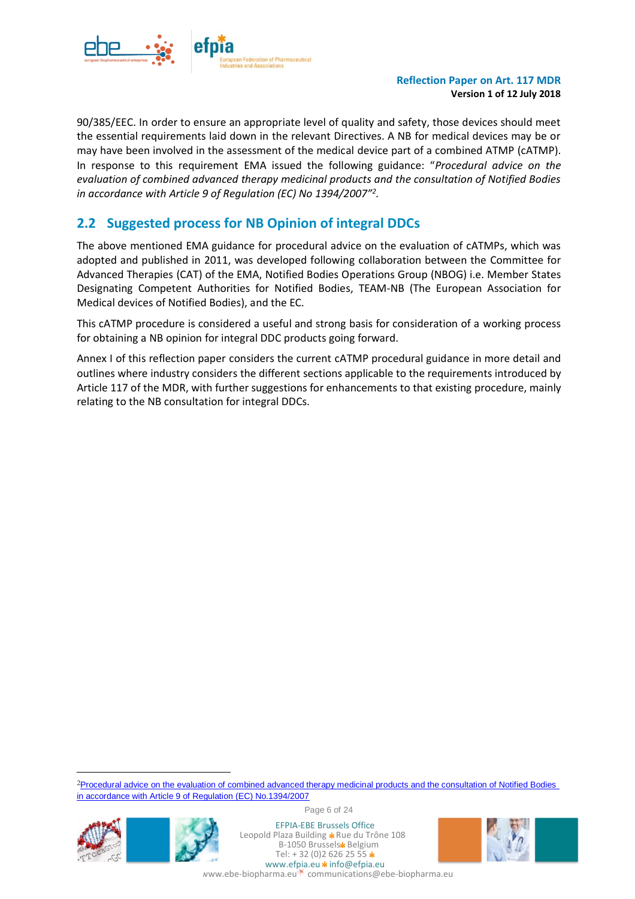

90/385/EEC. In order to ensure an appropriate level of quality and safety, those devices should meet the essential requirements laid down in the relevant Directives. A NB for medical devices may be or may have been involved in the assessment of the medical device part of a combined ATMP (cATMP). In response to this requirement EMA issued the following guidance: "*Procedural advice on the evaluation of combined advanced therapy medicinal products and the consultation of Notified Bodies in accordance with Article 9 of Regulation (EC) No 1394/2007"<sup>2</sup> .*

# <span id="page-5-0"></span>**2.2 Suggested process for NB Opinion of integral DDCs**

The above mentioned EMA guidance for procedural advice on the evaluation of cATMPs, which was adopted and published in 2011, was developed following collaboration between the Committee for Advanced Therapies (CAT) of the EMA, Notified Bodies Operations Group (NBOG) i.e. Member States Designating Competent Authorities for Notified Bodies, TEAM-NB (The European Association for Medical devices of Notified Bodies), and the EC.

This cATMP procedure is considered a useful and strong basis for consideration of a working process for obtaining a NB opinion for integral DDC products going forward.

Annex I of this reflection paper considers the current cATMP procedural guidance in more detail and outlines where industry considers the different sections applicable to the requirements introduced by Article 117 of the MDR, with further suggestions for enhancements to that existing procedure, mainly relating to the NB consultation for integral DDCs.

<sup>2</sup>Procedural advice on the evaluation of combined advanced therapy medicinal products and the consultation of Notified Bodies [in accordance with Article 9 of Regulation \(EC\) No.1394/2007](http://www.ema.europa.eu/docs/en_GB/document_library/Regulatory_and_procedural_guideline/2011/03/WC500102598.pdf)



l



Page 6 of 24

EFPIA-EBE Brussels Office Leopold Plaza Building \* Rue du Trône 108 B-1050 Brussels\* Belgium Tel:  $+32(0)26262555*$ www.efpia.eu  $\star$  info@efpia.eu

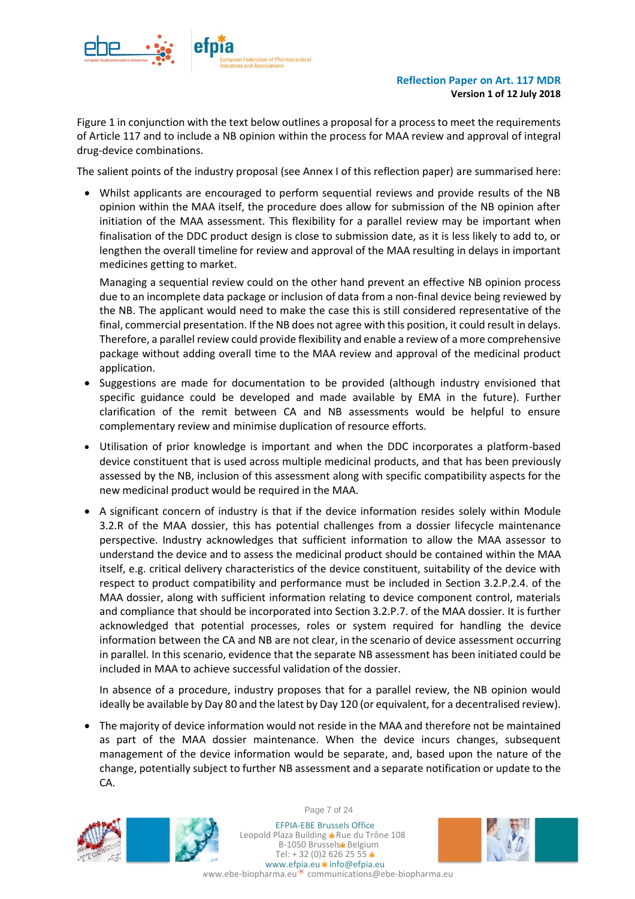

[Figure 1](#page-7-0) in conjunction with the text below outlines a proposal for a process to meet the requirements of Article 117 and to include a NB opinion within the process for MAA review and approval of integral drug-device combinations.

The salient points of the industry proposal (see Annex I of this reflection paper) are summarised here:

• Whilst applicants are encouraged to perform sequential reviews and provide results of the NB opinion within the MAA itself, the procedure does allow for submission of the NB opinion after initiation of the MAA assessment. This flexibility for a parallel review may be important when finalisation of the DDC product design is close to submission date, as it is less likely to add to, or lengthen the overall timeline for review and approval of the MAA resulting in delays in important medicines getting to market.

Managing a sequential review could on the other hand prevent an effective NB opinion process due to an incomplete data package or inclusion of data from a non-final device being reviewed by the NB. The applicant would need to make the case this is still considered representative of the final, commercial presentation. If the NB does not agree with this position, it could result in delays. Therefore, a parallel review could provide flexibility and enable a review of a more comprehensive package without adding overall time to the MAA review and approval of the medicinal product application.

- Suggestions are made for documentation to be provided (although industry envisioned that specific guidance could be developed and made available by EMA in the future). Further clarification of the remit between CA and NB assessments would be helpful to ensure complementary review and minimise duplication of resource efforts.
- Utilisation of prior knowledge is important and when the DDC incorporates a platform-based device constituent that is used across multiple medicinal products, and that has been previously assessed by the NB, inclusion of this assessment along with specific compatibility aspects for the new medicinal product would be required in the MAA.
- A significant concern of industry is that if the device information resides solely within Module 3.2.R of the MAA dossier, this has potential challenges from a dossier lifecycle maintenance perspective. Industry acknowledges that sufficient information to allow the MAA assessor to understand the device and to assess the medicinal product should be contained within the MAA itself, e.g. critical delivery characteristics of the device constituent, suitability of the device with respect to product compatibility and performance must be included in Section 3.2.P.2.4. of the MAA dossier, along with sufficient information relating to device component control, materials and compliance that should be incorporated into Section 3.2.P.7. of the MAA dossier. It is further acknowledged that potential processes, roles or system required for handling the device information between the CA and NB are not clear, in the scenario of device assessment occurring in parallel. In this scenario, evidence that the separate NB assessment has been initiated could be included in MAA to achieve successful validation of the dossier.

In absence of a procedure, industry proposes that for a parallel review, the NB opinion would ideally be available by Day 80 and the latest by Day 120 (or equivalent, for a decentralised review).

• The majority of device information would not reside in the MAA and therefore not be maintained as part of the MAA dossier maintenance. When the device incurs changes, subsequent management of the device information would be separate, and, based upon the nature of the change, potentially subject to further NB assessment and a separate notification or update to the CA.



Page 7 of 24

EFPIA-EBE Brussels Office Leopold Plaza Building \* Rue du Trône 108 B-1050 Brussels\* Belgium Tel:  $+32(0)26262555*$ www.efpia.eu \* info@efpia.eu ww.ebe-biopharma.eu communications@ebe-biopharma.eu

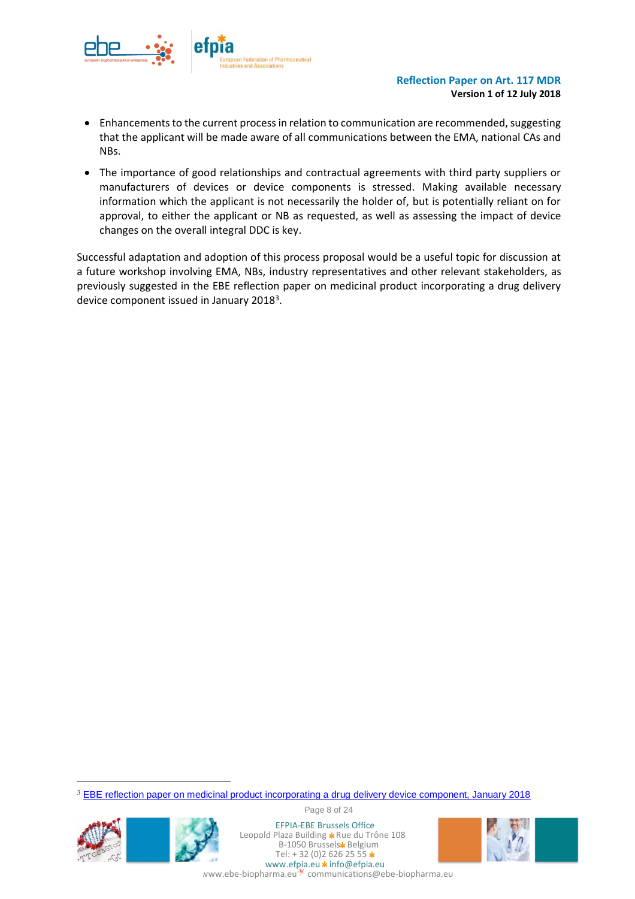

- Enhancements to the current process in relation to communication are recommended, suggesting that the applicant will be made aware of all communications between the EMA, national CAs and NBs.
- The importance of good relationships and contractual agreements with third party suppliers or manufacturers of devices or device components is stressed. Making available necessary information which the applicant is not necessarily the holder of, but is potentially reliant on for approval, to either the applicant or NB as requested, as well as assessing the impact of device changes on the overall integral DDC is key.

<span id="page-7-0"></span>Successful adaptation and adoption of this process proposal would be a useful topic for discussion at a future workshop involving EMA, NBs, industry representatives and other relevant stakeholders, as previously suggested in the EBE reflection paper on medicinal product incorporating a drug delivery device component issued in January 2018<sup>3</sup>.

3 [EBE reflection paper on medicinal product incorporating a drug delivery device component, January 2018](https://www.ebe-biopharma.eu/publication/ebe-reflection-paper-on-medicinal-product-incorporating-a-drug-delivery-device-component-an-industry-perspective-on-the-eu-marketing-application-technical-requirements-regulatory-review-process-an/)



 $\overline{a}$ 



Page 8 of 24

EFPIA-EBE Brussels Office Leopold Plaza Building \* Rue du Trône 108 B-1050 Brussels\* Belgium Tel:  $+32(0)26262555*$ www.efpia.eu \* info@efpia.eu

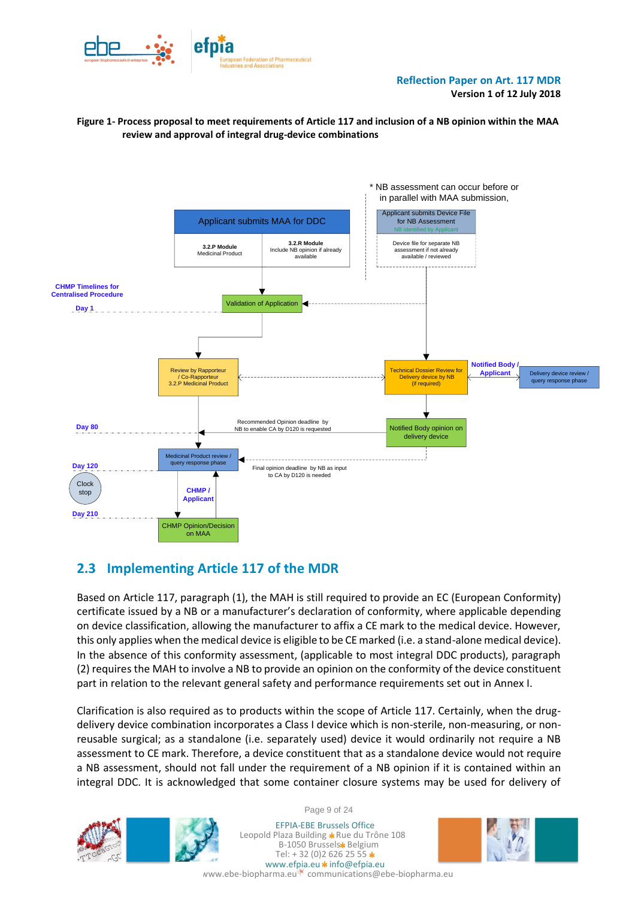

#### **Figure 1- Process proposal to meet requirements of Article 117 and inclusion of a NB opinion within the MAA review and approval of integral drug-device combinations**



## <span id="page-8-0"></span>**2.3 Implementing Article 117 of the MDR**

Based on Article 117, paragraph (1), the MAH is still required to provide an EC (European Conformity) certificate issued by a NB or a manufacturer's declaration of conformity, where applicable depending on device classification, allowing the manufacturer to affix a CE mark to the medical device. However, this only applies when the medical device is eligible to be CE marked (i.e. a stand-alone medical device). In the absence of this conformity assessment, (applicable to most integral DDC products), paragraph (2) requires the MAH to involve a NB to provide an opinion on the conformity of the device constituent part in relation to the relevant general safety and performance requirements set out in Annex I.

Clarification is also required as to products within the scope of Article 117. Certainly, when the drugdelivery device combination incorporates a Class I device which is non-sterile, non-measuring, or nonreusable surgical; as a standalone (i.e. separately used) device it would ordinarily not require a NB assessment to CE mark. Therefore, a device constituent that as a standalone device would not require a NB assessment, should not fall under the requirement of a NB opinion if it is contained within an integral DDC. It is acknowledged that some container closure systems may be used for delivery of





EFPIA-EBE Brussels Office Leopold Plaza Building \* Rue du Trône 108 B-1050 Brussels\* Belgium Tel:  $+32(0)26262555$ \* www.efpia.eu \* info@efpia.eu



ww.ebe-biopharma.eu<sup>\*\*</sup> communications@ebe-biopharma.eu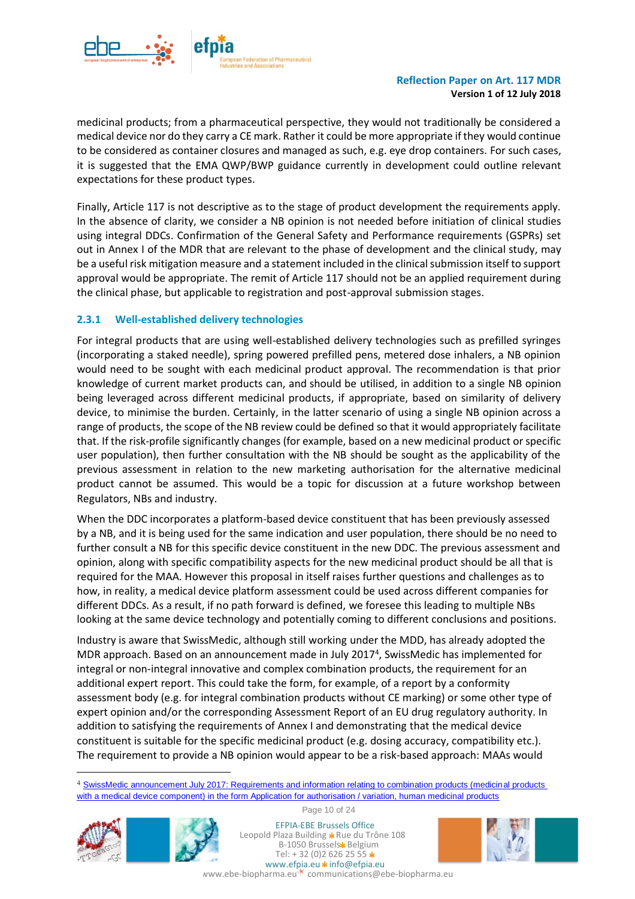

medicinal products; from a pharmaceutical perspective, they would not traditionally be considered a medical device nor do they carry a CE mark. Rather it could be more appropriate if they would continue to be considered as container closures and managed as such, e.g. eye drop containers. For such cases, it is suggested that the EMA QWP/BWP guidance currently in development could outline relevant expectations for these product types.

Finally, Article 117 is not descriptive as to the stage of product development the requirements apply. In the absence of clarity, we consider a NB opinion is not needed before initiation of clinical studies using integral DDCs. Confirmation of the General Safety and Performance requirements (GSPRs) set out in Annex I of the MDR that are relevant to the phase of development and the clinical study, may be a useful risk mitigation measure and a statement included in the clinical submission itself to support approval would be appropriate. The remit of Article 117 should not be an applied requirement during the clinical phase, but applicable to registration and post-approval submission stages.

#### <span id="page-9-0"></span>**2.3.1 Well-established delivery technologies**

For integral products that are using well-established delivery technologies such as prefilled syringes (incorporating a staked needle), spring powered prefilled pens, metered dose inhalers, a NB opinion would need to be sought with each medicinal product approval. The recommendation is that prior knowledge of current market products can, and should be utilised, in addition to a single NB opinion being leveraged across different medicinal products, if appropriate, based on similarity of delivery device, to minimise the burden. Certainly, in the latter scenario of using a single NB opinion across a range of products, the scope of the NB review could be defined so that it would appropriately facilitate that. If the risk-profile significantly changes (for example, based on a new medicinal product or specific user population), then further consultation with the NB should be sought as the applicability of the previous assessment in relation to the new marketing authorisation for the alternative medicinal product cannot be assumed. This would be a topic for discussion at a future workshop between Regulators, NBs and industry.

When the DDC incorporates a platform-based device constituent that has been previously assessed by a NB, and it is being used for the same indication and user population, there should be no need to further consult a NB for this specific device constituent in the new DDC. The previous assessment and opinion, along with specific compatibility aspects for the new medicinal product should be all that is required for the MAA. However this proposal in itself raises further questions and challenges as to how, in reality, a medical device platform assessment could be used across different companies for different DDCs. As a result, if no path forward is defined, we foresee this leading to multiple NBs looking at the same device technology and potentially coming to different conclusions and positions.

Industry is aware that SwissMedic, although still working under the MDD, has already adopted the MDR approach. Based on an announcement made in July 2017<sup>4</sup>, SwissMedic has implemented for integral or non-integral innovative and complex combination products, the requirement for an additional expert report. This could take the form, for example, of a report by a conformity assessment body (e.g. for integral combination products without CE marking) or some other type of expert opinion and/or the corresponding Assessment Report of an EU drug regulatory authority. In addition to satisfying the requirements of Annex I and demonstrating that the medical device constituent is suitable for the specific medicinal product (e.g. dosing accuracy, compatibility etc.). The requirement to provide a NB opinion would appear to be a risk-based approach: MAAs would

<sup>4</sup> [SwissMedic announcement July 2017: Requirements and information relating to combination products \(medicinal products](https://www.swissmedic.ch/swissmedic/en/home/news/mitteilungen/anforderungen-und-angaben-zu-kombinationsprodukten-arzneimittel-mit-einer-medizinproduktkomponente-im-formular-gesuch-zulassung-aenderung-fuer-humanarzneimittel.html)  [with a medical device component\) in the form Application for authorisation / variation, human medicinal products](https://www.swissmedic.ch/swissmedic/en/home/news/mitteilungen/anforderungen-und-angaben-zu-kombinationsprodukten-arzneimittel-mit-einer-medizinproduktkomponente-im-formular-gesuch-zulassung-aenderung-fuer-humanarzneimittel.html)



l



Page 10 of 24

EFPIA-EBE Brussels Office Leopold Plaza Building \* Rue du Trône 108 B-1050 Brussels\* Belgium Tel:  $+32(0)26262555$ \* www.efpia.eu \* info@efpia.eu

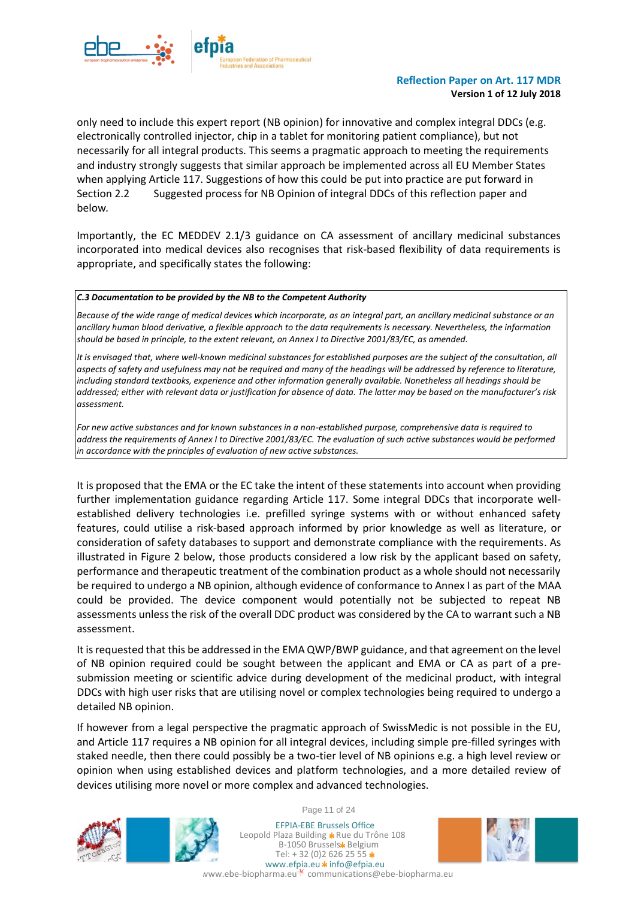

only need to include this expert report (NB opinion) for innovative and complex integral DDCs (e.g. electronically controlled injector, chip in a tablet for monitoring patient compliance), but not necessarily for all integral products. This seems a pragmatic approach to meeting the requirements and industry strongly suggests that similar approach be implemented across all EU Member States when applying Article 117. Suggestions of how this could be put into practice are put forward in Section 2.2 [Suggested process for NB Opinion of integral DDCs](#page-5-0) of this reflection paper and below*.* 

Importantly, the EC MEDDEV 2.1/3 guidance on CA assessment of ancillary medicinal substances incorporated into medical devices also recognises that risk-based flexibility of data requirements is appropriate, and specifically states the following:

#### *C.3 Documentation to be provided by the NB to the Competent Authority*

*Because of the wide range of medical devices which incorporate, as an integral part, an ancillary medicinal substance or an ancillary human blood derivative, a flexible approach to the data requirements is necessary. Nevertheless, the information should be based in principle, to the extent relevant, on Annex I to Directive 2001/83/EC, as amended.*

It is envisaged that, where well-known medicinal substances for established purposes are the subject of the consultation, all *aspects of safety and usefulness may not be required and many of the headings will be addressed by reference to literature, including standard textbooks, experience and other information generally available. Nonetheless all headings should be addressed; either with relevant data or justification for absence of data. The latter may be based on the manufacturer's risk assessment.*

*For new active substances and for known substances in a non-established purpose, comprehensive data is required to address the requirements of Annex I to Directive 2001/83/EC. The evaluation of such active substances would be performed in accordance with the principles of evaluation of new active substances.*

It is proposed that the EMA or the EC take the intent of these statements into account when providing further implementation guidance regarding Article 117. Some integral DDCs that incorporate wellestablished delivery technologies i.e. prefilled syringe systems with or without enhanced safety features, could utilise a risk-based approach informed by prior knowledge as well as literature, or consideration of safety databases to support and demonstrate compliance with the requirements. As illustrated in [Figure 2](#page-11-1) below, those products considered a low risk by the applicant based on safety, performance and therapeutic treatment of the combination product as a whole should not necessarily be required to undergo a NB opinion, although evidence of conformance to Annex I as part of the MAA could be provided. The device component would potentially not be subjected to repeat NB assessments unless the risk of the overall DDC product was considered by the CA to warrant such a NB assessment.

It is requested that this be addressed in the EMA QWP/BWP guidance, and that agreement on the level of NB opinion required could be sought between the applicant and EMA or CA as part of a presubmission meeting or scientific advice during development of the medicinal product, with integral DDCs with high user risks that are utilising novel or complex technologies being required to undergo a detailed NB opinion.

If however from a legal perspective the pragmatic approach of SwissMedic is not possible in the EU, and Article 117 requires a NB opinion for all integral devices, including simple pre-filled syringes with staked needle, then there could possibly be a two-tier level of NB opinions e.g. a high level review or opinion when using established devices and platform technologies, and a more detailed review of devices utilising more novel or more complex and advanced technologies.





Page 11 of 24

EFPIA-EBE Brussels Office Leopold Plaza Building \* Rue du Trône 108 B-1050 Brussels\* Belgium Tel:  $+32(0)26262555*$ www.efpia.eu \* info@efpia.eu

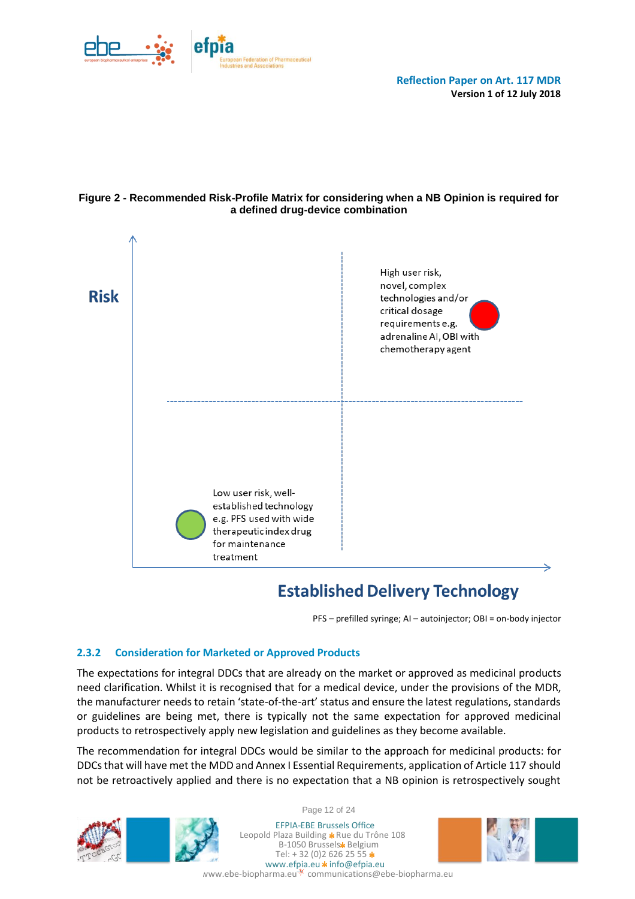

#### <span id="page-11-1"></span>**Figure 2 - Recommended Risk-Profile Matrix for considering when a NB Opinion is required for a defined drug-device combination**



# **Established Delivery Technology**

PFS – prefilled syringe; AI – autoinjector; OBI = on-body injector

### <span id="page-11-0"></span>**2.3.2 Consideration for Marketed or Approved Products**

The expectations for integral DDCs that are already on the market or approved as medicinal products need clarification. Whilst it is recognised that for a medical device, under the provisions of the MDR, the manufacturer needs to retain 'state-of-the-art' status and ensure the latest regulations, standards or guidelines are being met, there is typically not the same expectation for approved medicinal products to retrospectively apply new legislation and guidelines as they become available.

The recommendation for integral DDCs would be similar to the approach for medicinal products: for DDCs that will have met the MDD and Annex I Essential Requirements, application of Article 117 should not be retroactively applied and there is no expectation that a NB opinion is retrospectively sought





Page 12 of 24

EFPIA-EBE Brussels Office Leopold Plaza Building \* Rue du Trône 108 B-1050 Brussels\* Belgium Tel:  $+32(0)26262555*$ www.efpia.eu \* info@efpia.eu

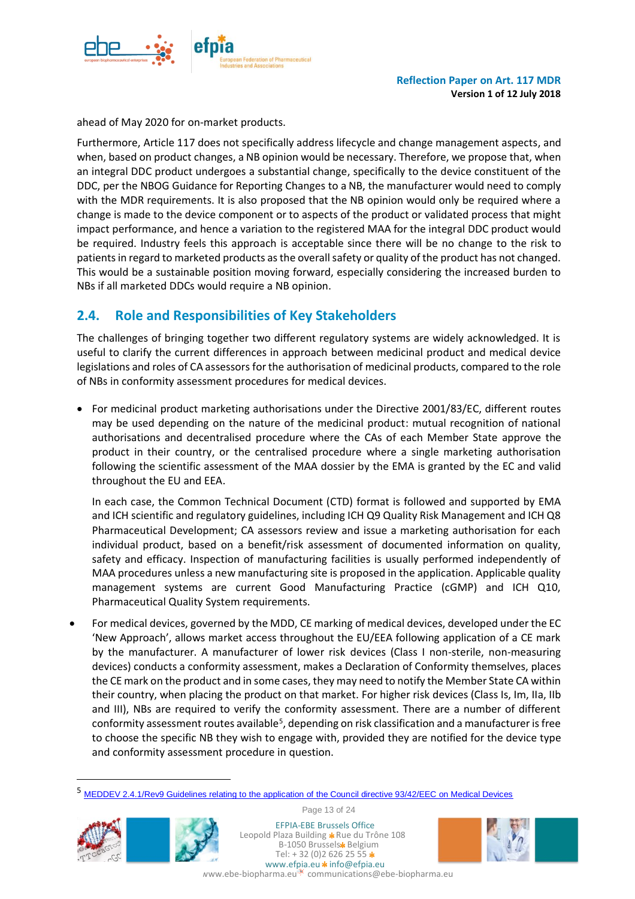

ahead of May 2020 for on-market products.

Furthermore, Article 117 does not specifically address lifecycle and change management aspects, and when, based on product changes, a NB opinion would be necessary. Therefore, we propose that, when an integral DDC product undergoes a substantial change, specifically to the device constituent of the DDC, per the NBOG Guidance for Reporting Changes to a NB, the manufacturer would need to comply with the MDR requirements. It is also proposed that the NB opinion would only be required where a change is made to the device component or to aspects of the product or validated process that might impact performance, and hence a variation to the registered MAA for the integral DDC product would be required. Industry feels this approach is acceptable since there will be no change to the risk to patients in regard to marketed products as the overall safety or quality of the product has not changed. This would be a sustainable position moving forward, especially considering the increased burden to NBs if all marketed DDCs would require a NB opinion.

## <span id="page-12-0"></span>**2.4. Role and Responsibilities of Key Stakeholders**

The challenges of bringing together two different regulatory systems are widely acknowledged. It is useful to clarify the current differences in approach between medicinal product and medical device legislations and roles of CA assessors for the authorisation of medicinal products, compared to the role of NBs in conformity assessment procedures for medical devices.

• For medicinal product marketing authorisations under the Directive 2001/83/EC, different routes may be used depending on the nature of the medicinal product: mutual recognition of national authorisations and decentralised procedure where the CAs of each Member State approve the product in their country, or the centralised procedure where a single marketing authorisation following the scientific assessment of the MAA dossier by the EMA is granted by the EC and valid throughout the EU and EEA.

In each case, the Common Technical Document (CTD) format is followed and supported by EMA and ICH scientific and regulatory guidelines, including ICH Q9 Quality Risk Management and ICH Q8 Pharmaceutical Development; CA assessors review and issue a marketing authorisation for each individual product, based on a benefit/risk assessment of documented information on quality, safety and efficacy. Inspection of manufacturing facilities is usually performed independently of MAA procedures unless a new manufacturing site is proposed in the application. Applicable quality management systems are current Good Manufacturing Practice (cGMP) and ICH Q10, Pharmaceutical Quality System requirements.

• For medical devices, governed by the MDD, CE marking of medical devices, developed under the EC 'New Approach', allows market access throughout the EU/EEA following application of a CE mark by the manufacturer. A manufacturer of lower risk devices (Class I non-sterile, non-measuring devices) conducts a conformity assessment, makes a Declaration of Conformity themselves, places the CE mark on the product and in some cases, they may need to notify the Member State CA within their country, when placing the product on that market. For higher risk devices (Class Is, Im, IIa, IIb and III), NBs are required to verify the conformity assessment. There are a number of different conformity assessment routes available<sup>5</sup>, depending on risk classification and a manufacturer is free to choose the specific NB they wish to engage with, provided they are notified for the device type and conformity assessment procedure in question.

<sup>5</sup> MEDDEV 2.4.1/Rev9 Guidelines relating to [the application of the Council directive 93/42/EEC on Medical Devices](http://ec.europa.eu/DocsRoom/documents/10337/attachments/1/translations)



 $\overline{a}$ 

Page 13 of 24

EFPIA-EBE Brussels Office Leopold Plaza Building \* Rue du Trône 108 B-1050 Brussels\* Belgium Tel:  $+32(0)26262555$ \* www.efpia.eu \* info@efpia.eu

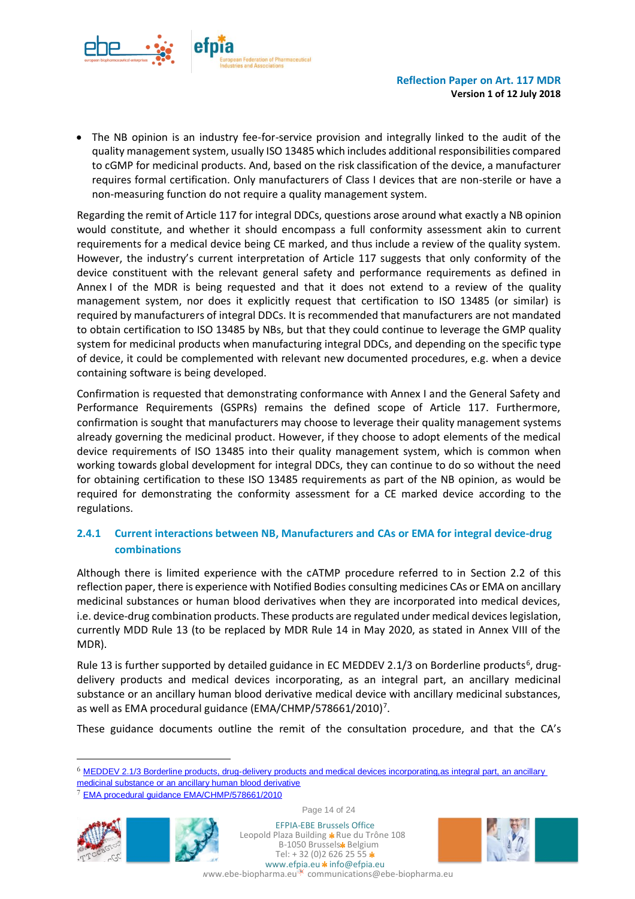

• The NB opinion is an industry fee-for-service provision and integrally linked to the audit of the quality management system, usually ISO 13485 which includes additional responsibilities compared to cGMP for medicinal products. And, based on the risk classification of the device, a manufacturer requires formal certification. Only manufacturers of Class I devices that are non-sterile or have a non-measuring function do not require a quality management system.

Regarding the remit of Article 117 for integral DDCs, questions arose around what exactly a NB opinion would constitute, and whether it should encompass a full conformity assessment akin to current requirements for a medical device being CE marked, and thus include a review of the quality system. However, the industry's current interpretation of Article 117 suggests that only conformity of the device constituent with the relevant general safety and performance requirements as defined in Annex I of the MDR is being requested and that it does not extend to a review of the quality management system, nor does it explicitly request that certification to ISO 13485 (or similar) is required by manufacturers of integral DDCs. It is recommended that manufacturers are not mandated to obtain certification to ISO 13485 by NBs, but that they could continue to leverage the GMP quality system for medicinal products when manufacturing integral DDCs, and depending on the specific type of device, it could be complemented with relevant new documented procedures, e.g. when a device containing software is being developed.

Confirmation is requested that demonstrating conformance with Annex I and the General Safety and Performance Requirements (GSPRs) remains the defined scope of Article 117. Furthermore, confirmation is sought that manufacturers may choose to leverage their quality management systems already governing the medicinal product. However, if they choose to adopt elements of the medical device requirements of ISO 13485 into their quality management system, which is common when working towards global development for integral DDCs, they can continue to do so without the need for obtaining certification to these ISO 13485 requirements as part of the NB opinion, as would be required for demonstrating the conformity assessment for a CE marked device according to the regulations.

### <span id="page-13-0"></span>**2.4.1 Current interactions between NB, Manufacturers and CAs or EMA for integral device-drug combinations**

Although there is limited experience with the cATMP procedure referred to in Section 2.2 of this reflection paper, there is experience with Notified Bodies consulting medicines CAs or EMA on ancillary medicinal substances or human blood derivatives when they are incorporated into medical devices, i.e. device-drug combination products. These products are regulated under medical deviceslegislation, currently MDD Rule 13 (to be replaced by MDR Rule 14 in May 2020, as stated in Annex VIII of the MDR).

Rule 13 is further supported by detailed guidance in EC MEDDEV 2.1/3 on Borderline products<sup>6</sup>, drugdelivery products and medical devices incorporating, as an integral part, an ancillary medicinal substance or an ancillary human blood derivative medical device with ancillary medicinal substances, as well as EMA procedural guidance (EMA/CHMP/578661/2010)<sup>7</sup>.

These guidance documents outline the remit of the consultation procedure, and that the CA's

<sup>7</sup> [EMA procedural guidance EMA/CHMP/578661/2010](http://www.ema.europa.eu/ema/pages/includes/document/open_document.jsp?webContentId=WC500123441)



 $\overline{a}$ 



Page 14 of 24

EFPIA-EBE Brussels Office Leopold Plaza Building \* Rue du Trône 108 B-1050 Brussels\* Belgium Tel:  $+32(0)26262555*$ www.efpia.eu  $\star$  info@efpia.eu



<sup>6</sup> [MEDDEV 2.1/3 Borderline products, drug-delivery products and medical devices incorporating,as integral part, an ancillary](http://ec.europa.eu/DocsRoom/documents/10328/attachments/1/translations)  [medicinal substance or an ancillary human blood derivative](http://ec.europa.eu/DocsRoom/documents/10328/attachments/1/translations)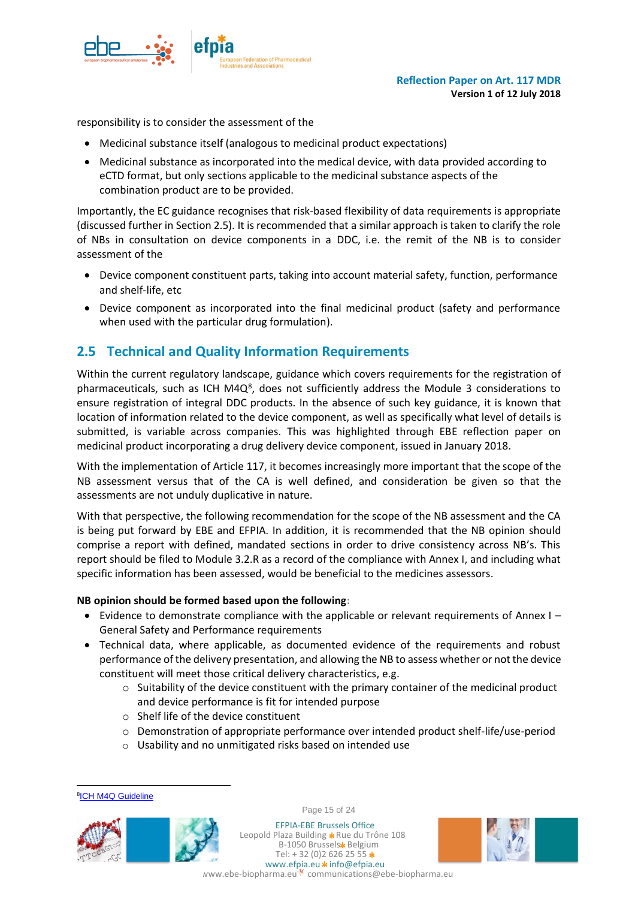

responsibility is to consider the assessment of the

- Medicinal substance itself (analogous to medicinal product expectations)
- Medicinal substance as incorporated into the medical device, with data provided according to eCTD format, but only sections applicable to the medicinal substance aspects of the combination product are to be provided.

Importantly, the EC guidance recognises that risk-based flexibility of data requirements is appropriate (discussed further in Section 2.5). It is recommended that a similar approach is taken to clarify the role of NBs in consultation on device components in a DDC, i.e. the remit of the NB is to consider assessment of the

- Device component constituent parts, taking into account material safety, function, performance and shelf-life, etc
- Device component as incorporated into the final medicinal product (safety and performance when used with the particular drug formulation).

## <span id="page-14-0"></span>**2.5 Technical and Quality Information Requirements**

Within the current regulatory landscape, guidance which covers requirements for the registration of pharmaceuticals, such as ICH M4Q<sup>8</sup>, does not sufficiently address the Module 3 considerations to ensure registration of integral DDC products. In the absence of such key guidance, it is known that location of information related to the device component, as well as specifically what level of details is submitted, is variable across companies. This was highlighted through EBE reflection paper on medicinal product incorporating a drug delivery device component, issued in January 2018.

With the implementation of Article 117, it becomes increasingly more important that the scope of the NB assessment versus that of the CA is well defined, and consideration be given so that the assessments are not unduly duplicative in nature.

With that perspective, the following recommendation for the scope of the NB assessment and the CA is being put forward by EBE and EFPIA. In addition, it is recommended that the NB opinion should comprise a report with defined, mandated sections in order to drive consistency across NB's. This report should be filed to Module 3.2.R as a record of the compliance with Annex I, and including what specific information has been assessed, would be beneficial to the medicines assessors.

#### **NB opinion should be formed based upon the following:**

- Evidence to demonstrate compliance with the applicable or relevant requirements of Annex I General Safety and Performance requirements
- Technical data, where applicable, as documented evidence of the requirements and robust performance of the delivery presentation, and allowing the NB to assess whether or not the device constituent will meet those critical delivery characteristics, e.g.
	- $\circ$  Suitability of the device constituent with the primary container of the medicinal product and device performance is fit for intended purpose
	- o Shelf life of the device constituent
	- $\circ$  Demonstration of appropriate performance over intended product shelf-life/use-period
	- o Usability and no unmitigated risks based on intended use

 $\overline{a}$ 



Page 15 of 24

EFPIA-EBE Brussels Office Leopold Plaza Building \* Rue du Trône 108 B-1050 Brussels\* Belgium Tel:  $+32(0)26262555*$ www.efpia.eu \* info@efpia.eu



**<sup>&</sup>lt;sup>8</sup>[ICH M4Q Guideline](http://www.ich.org/fileadmin/Public_Web_Site/ICH_Products/CTD/M4_R1_Quality/M4Q__R1_.pdf)**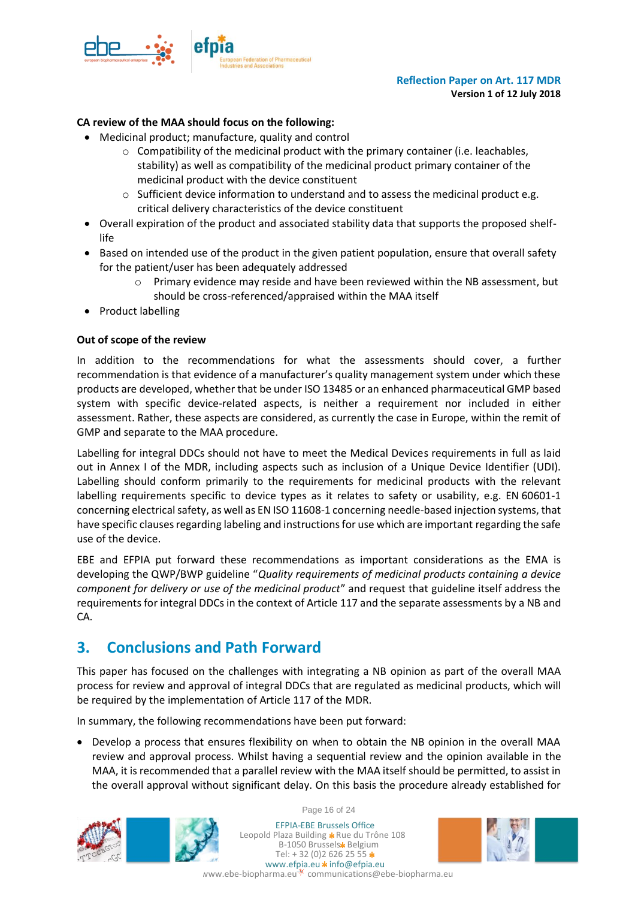

#### **CA review of the MAA should focus on the following:**

- Medicinal product; manufacture, quality and control
	- $\circ$  Compatibility of the medicinal product with the primary container (i.e. leachables, stability) as well as compatibility of the medicinal product primary container of the medicinal product with the device constituent
	- $\circ$  Sufficient device information to understand and to assess the medicinal product e.g. critical delivery characteristics of the device constituent
- Overall expiration of the product and associated stability data that supports the proposed shelflife
- Based on intended use of the product in the given patient population, ensure that overall safety for the patient/user has been adequately addressed
	- $\circ$  Primary evidence may reside and have been reviewed within the NB assessment, but should be cross-referenced/appraised within the MAA itself
- Product labelling

#### **Out of scope of the review**

In addition to the recommendations for what the assessments should cover, a further recommendation is that evidence of a manufacturer's quality management system under which these products are developed, whether that be under ISO 13485 or an enhanced pharmaceutical GMP based system with specific device-related aspects, is neither a requirement nor included in either assessment. Rather, these aspects are considered, as currently the case in Europe, within the remit of GMP and separate to the MAA procedure.

Labelling for integral DDCs should not have to meet the Medical Devices requirements in full as laid out in Annex I of the MDR, including aspects such as inclusion of a Unique Device Identifier (UDI). Labelling should conform primarily to the requirements for medicinal products with the relevant labelling requirements specific to device types as it relates to safety or usability, e.g. EN 60601-1 concerning electrical safety, as well as EN ISO 11608-1 concerning needle-based injection systems, that have specific clauses regarding labeling and instructions for use which are important regarding the safe use of the device.

EBE and EFPIA put forward these recommendations as important considerations as the EMA is developing the QWP/BWP guideline "*Quality requirements of medicinal products containing a device component for delivery or use of the medicinal product*" and request that guideline itself address the requirements for integral DDCs in the context of Article 117 and the separate assessments by a NB and CA.

# <span id="page-15-0"></span>**3. Conclusions and Path Forward**

This paper has focused on the challenges with integrating a NB opinion as part of the overall MAA process for review and approval of integral DDCs that are regulated as medicinal products, which will be required by the implementation of Article 117 of the MDR.

In summary, the following recommendations have been put forward:

• Develop a process that ensures flexibility on when to obtain the NB opinion in the overall MAA review and approval process. Whilst having a sequential review and the opinion available in the MAA, it is recommended that a parallel review with the MAA itself should be permitted, to assist in the overall approval without significant delay. On this basis the procedure already established for



Page 16 of 24

EFPIA-EBE Brussels Office Leopold Plaza Building \* Rue du Trône 108 B-1050 Brussels\* Belgium Tel:  $+32(0)26262555*$ www.efpia.eu \* info@efpia.eu www.ebe-biopharma.eu<sup>-\*</sup> communications@ebe-biopharma.eu

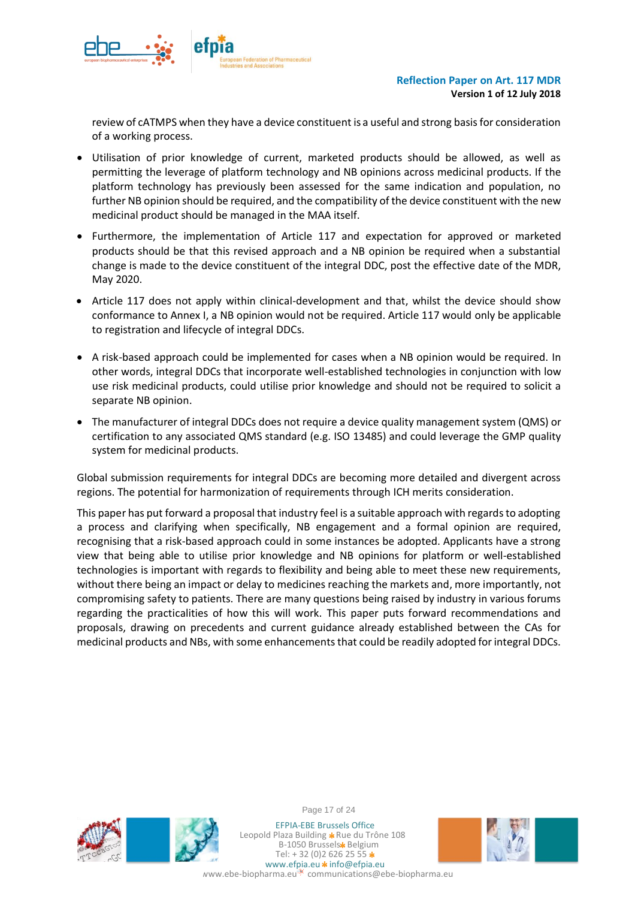

review of cATMPS when they have a device constituent is a useful and strong basis for consideration of a working process.

- Utilisation of prior knowledge of current, marketed products should be allowed, as well as permitting the leverage of platform technology and NB opinions across medicinal products. If the platform technology has previously been assessed for the same indication and population, no further NB opinion should be required, and the compatibility of the device constituent with the new medicinal product should be managed in the MAA itself.
- Furthermore, the implementation of Article 117 and expectation for approved or marketed products should be that this revised approach and a NB opinion be required when a substantial change is made to the device constituent of the integral DDC, post the effective date of the MDR, May 2020.
- Article 117 does not apply within clinical-development and that, whilst the device should show conformance to Annex I, a NB opinion would not be required. Article 117 would only be applicable to registration and lifecycle of integral DDCs.
- A risk-based approach could be implemented for cases when a NB opinion would be required. In other words, integral DDCs that incorporate well-established technologies in conjunction with low use risk medicinal products, could utilise prior knowledge and should not be required to solicit a separate NB opinion.
- The manufacturer of integral DDCs does not require a device quality management system (QMS) or certification to any associated QMS standard (e.g. ISO 13485) and could leverage the GMP quality system for medicinal products.

Global submission requirements for integral DDCs are becoming more detailed and divergent across regions. The potential for harmonization of requirements through ICH merits consideration.

This paper has put forward a proposal that industry feel is a suitable approach with regards to adopting a process and clarifying when specifically, NB engagement and a formal opinion are required, recognising that a risk-based approach could in some instances be adopted. Applicants have a strong view that being able to utilise prior knowledge and NB opinions for platform or well-established technologies is important with regards to flexibility and being able to meet these new requirements, without there being an impact or delay to medicines reaching the markets and, more importantly, not compromising safety to patients. There are many questions being raised by industry in various forums regarding the practicalities of how this will work. This paper puts forward recommendations and proposals, drawing on precedents and current guidance already established between the CAs for medicinal products and NBs, with some enhancements that could be readily adopted for integral DDCs.





Page 17 of 24

EFPIA-EBE Brussels Office Leopold Plaza Building \* Rue du Trône 108 B-1050 Brussels\* Belgium Tel:  $+32(0)26262555*$ www.efpia.eu \* info@efpia.eu www.ebe-biopharma.eu<sup>.\*</sup> communications@ebe-biopharma.eu

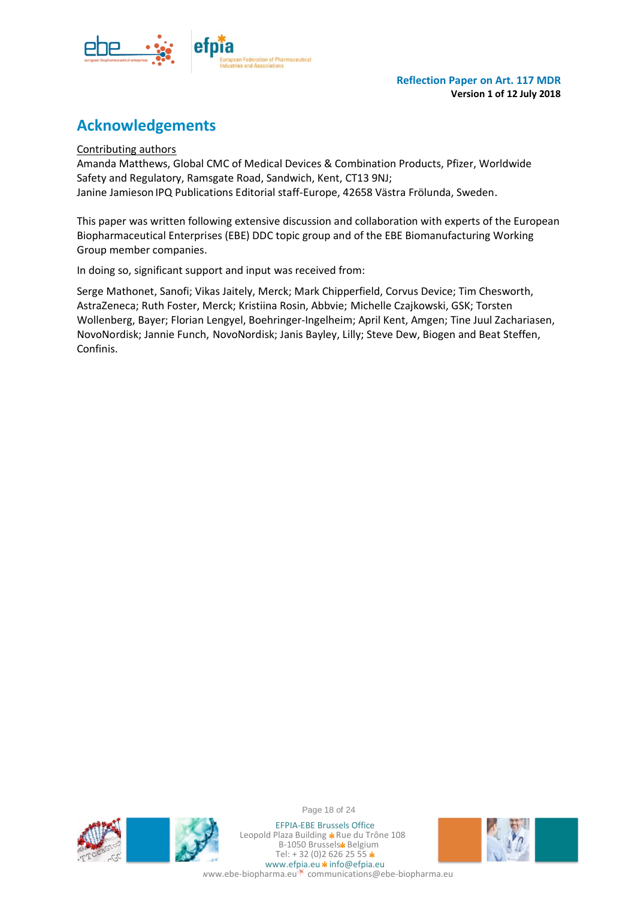

# **Acknowledgements**

Contributing authors

Amanda Matthews, Global CMC of Medical Devices & Combination Products, Pfizer, Worldwide Safety and Regulatory, Ramsgate Road, Sandwich, Kent, CT13 9NJ; Janine Jamieson IPQ Publications Editorial staff-Europe, 42658 Västra Frölunda, Sweden.

This paper was written following extensive discussion and collaboration with experts of the European Biopharmaceutical Enterprises (EBE) DDC topic group and of the EBE Biomanufacturing Working Group member companies.

In doing so, significant support and input was received from:

Serge Mathonet, Sanofi; Vikas Jaitely, Merck; Mark Chipperfield, Corvus Device; Tim Chesworth, AstraZeneca; Ruth Foster, Merck; Kristiina Rosin, Abbvie; Michelle Czajkowski, GSK; Torsten Wollenberg, Bayer; Florian Lengyel, Boehringer-Ingelheim; April Kent, Amgen; Tine Juul Zachariasen, NovoNordisk; Jannie Funch, NovoNordisk; Janis Bayley, Lilly; Steve Dew, Biogen and Beat Steffen, Confinis.



Page 18 of 24

EFPIA-EBE Brussels Office Leopold Plaza Building \* Rue du Trône 108 B-1050 Brussels\* Belgium Tel:  $+32(0)26262555*$ www.efpia.eu \* info@efpia.eu www.ebe-biopharma.eu<sup>\*</sup> communications@ebe-biopharma.eu

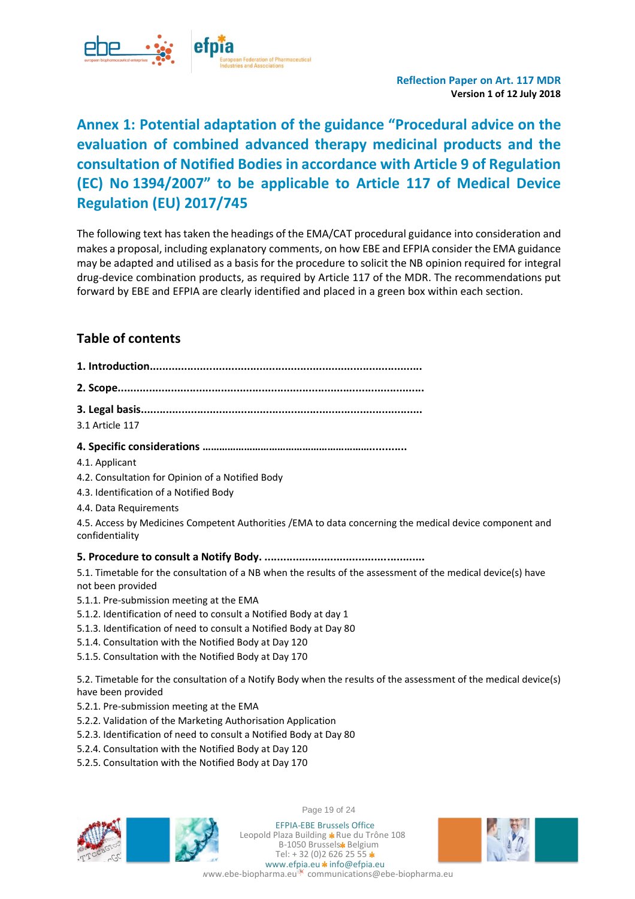

# <span id="page-18-0"></span>**Annex 1: Potential adaptation of the guidance "Procedural advice on the evaluation of combined advanced therapy medicinal products and the consultation of Notified Bodies in accordance with Article 9 of Regulation (EC) No 1394/2007" to be applicable to Article 117 of Medical Device Regulation (EU) 2017/745**

The following text has taken the headings of the EMA/CAT procedural guidance into consideration and makes a proposal, including explanatory comments, on how EBE and EFPIA consider the EMA guidance may be adapted and utilised as a basis for the procedure to solicit the NB opinion required for integral drug-device combination products, as required by Article 117 of the MDR. The recommendations put forward by EBE and EFPIA are clearly identified and placed in a green box within each section.

## **Table of contents**

- **1. Introduction.......................................................................................**
- **2. Scope..................................................................................................**
- **3. Legal basis..........................................................................................**
- 3.1 Article 117

#### **4. Specific considerations ……………………………………………………............**

- 4.1. Applicant
- 4.2. Consultation for Opinion of a Notified Body
- 4.3. Identification of a Notified Body
- 4.4. Data Requirements

4.5. Access by Medicines Competent Authorities /EMA to data concerning the medical device component and confidentiality

**5. Procedure to consult a Notify Body. ...................................................** 

5.1. Timetable for the consultation of a NB when the results of the assessment of the medical device(s) have not been provided

- 5.1.1. Pre-submission meeting at the EMA
- 5.1.2. Identification of need to consult a Notified Body at day 1
- 5.1.3. Identification of need to consult a Notified Body at Day 80
- 5.1.4. Consultation with the Notified Body at Day 120
- 5.1.5. Consultation with the Notified Body at Day 170

5.2. Timetable for the consultation of a Notify Body when the results of the assessment of the medical device(s) have been provided

- 5.2.1. Pre-submission meeting at the EMA
- 5.2.2. Validation of the Marketing Authorisation Application
- 5.2.3. Identification of need to consult a Notified Body at Day 80
- 5.2.4. Consultation with the Notified Body at Day 120
- 5.2.5. Consultation with the Notified Body at Day 170



Page 19 of 24

EFPIA-EBE Brussels Office Leopold Plaza Building \* Rue du Trône 108 B-1050 Brussels\* Belgium Tel:  $+32(0)26262555*$ www.efpia.eu \* info@efpia.eu www.ebe-biopharma.eu communications@ebe-biopharma.eu

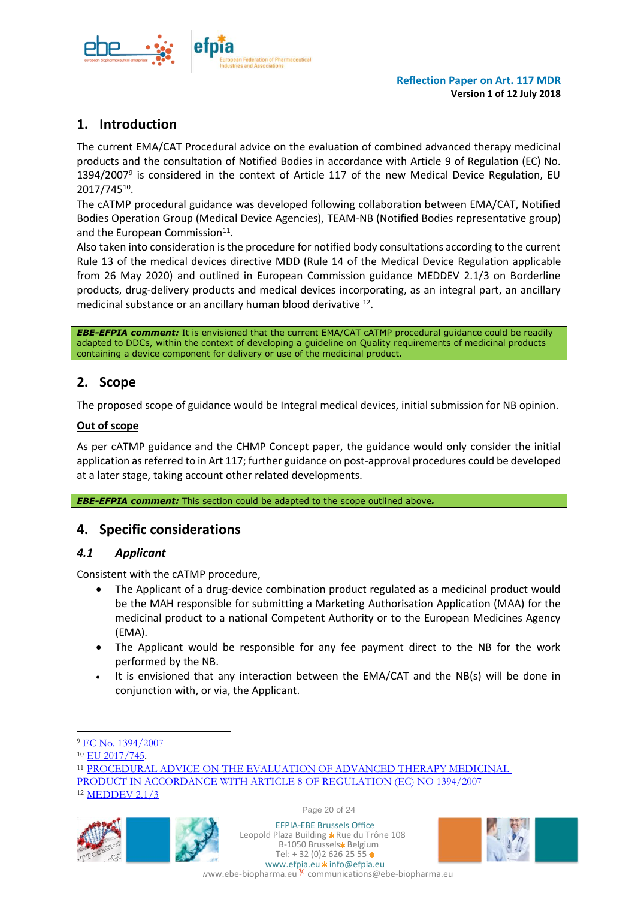

## **1. Introduction**

The current EMA/CAT Procedural advice on the evaluation of combined advanced therapy medicinal products and the consultation of Notified Bodies in accordance with Article 9 of Regulation (EC) No. 1394/2007<sup>9</sup> is considered in the context of Article 117 of the new Medical Device Regulation, EU 2017/745<sup>10</sup>.

The cATMP procedural guidance was developed following collaboration between EMA/CAT, Notified Bodies Operation Group (Medical Device Agencies), TEAM-NB (Notified Bodies representative group) and the European Commission<sup>11</sup>.

Also taken into consideration is the procedure for notified body consultations according to the current Rule 13 of the medical devices directive MDD (Rule 14 of the Medical Device Regulation applicable from 26 May 2020) and outlined in European Commission guidance MEDDEV 2.1/3 on Borderline products, drug-delivery products and medical devices incorporating, as an integral part, an ancillary medicinal substance or an ancillary human blood derivative <sup>12</sup>.

*EBE-EFPIA comment:* It is envisioned that the current EMA/CAT cATMP procedural guidance could be readily adapted to DDCs, within the context of developing a guideline on Quality requirements of medicinal products containing a device component for delivery or use of the medicinal product.

## **2. Scope**

The proposed scope of guidance would be Integral medical devices, initial submission for NB opinion.

#### **Out of scope**

As per cATMP guidance and the CHMP Concept paper, the guidance would only consider the initial application as referred to in Art 117; further guidance on post-approval procedures could be developed at a later stage, taking account other related developments.

*EBE-EFPIA comment:* This section could be adapted to the scope outlined above*.*

## **4. Specific considerations**

#### *4.1 Applicant*

Consistent with the cATMP procedure,

- The Applicant of a drug-device combination product regulated as a medicinal product would be the MAH responsible for submitting a Marketing Authorisation Application (MAA) for the medicinal product to a national Competent Authority or to the European Medicines Agency (EMA).
- The Applicant would be responsible for any fee payment direct to the NB for the work performed by the NB.
- It is envisioned that any interaction between the EMA/CAT and the NB(s) will be done in conjunction with, or via, the Applicant.

 $\overline{a}$ 

<sup>12</sup> [MEDDEV 2.1/3](http://www.meddev.info/_documents/2_1_3_rev_3-12_2009_en.pdf)



Page 20 of 24



<sup>9</sup> [EC No. 1394/2007](https://ec.europa.eu/health/sites/health/files/files/eudralex/vol-1/reg_2007_1394/reg_2007_1394_en.pdf)

<sup>10</sup> [EU 2017/745](https://eur-lex.europa.eu/legal-content/EN/TXT/PDF/?uri=CELEX:32017R0745&from=EN).

<sup>11</sup> [PROCEDURAL ADVICE ON THE EVALUATION OF ADVANCED THERAPY MEDICINAL](http://www.ema.europa.eu/docs/en_GB/document_library/Regulatory_and_procedural_guideline/2010/02/WC500070340.pdf) 

[PRODUCT IN ACCORDANCE WITH ARTICLE 8 OF REGULATION \(EC\) NO 1394/2007](http://www.ema.europa.eu/docs/en_GB/document_library/Regulatory_and_procedural_guideline/2010/02/WC500070340.pdf)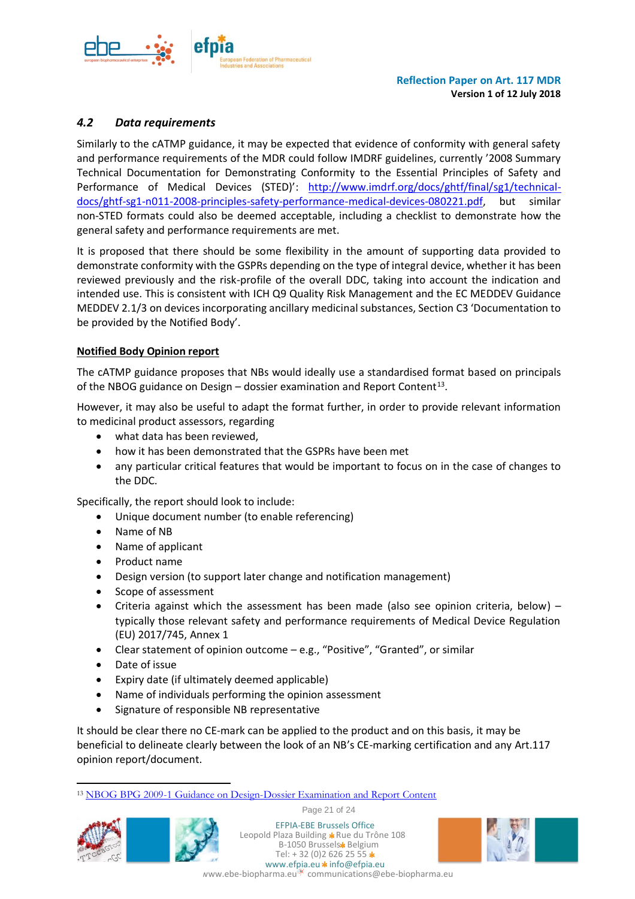

### *4.2 Data requirements*

Similarly to the cATMP guidance, it may be expected that evidence of conformity with general safety and performance requirements of the MDR could follow IMDRF guidelines, currently '2008 Summary Technical Documentation for Demonstrating Conformity to the Essential Principles of Safety and Performance of Medical Devices (STED)': [http://www.imdrf.org/docs/ghtf/final/sg1/technical](http://www.imdrf.org/docs/ghtf/final/sg1/technical-docs/ghtf-sg1-n011-2008-principles-safety-performance-medical-devices-080221.pdf)[docs/ghtf-sg1-n011-2008-principles-safety-performance-medical-devices-080221.pdf,](http://www.imdrf.org/docs/ghtf/final/sg1/technical-docs/ghtf-sg1-n011-2008-principles-safety-performance-medical-devices-080221.pdf) but similar non-STED formats could also be deemed acceptable, including a checklist to demonstrate how the general safety and performance requirements are met.

It is proposed that there should be some flexibility in the amount of supporting data provided to demonstrate conformity with the GSPRs depending on the type of integral device, whether it has been reviewed previously and the risk-profile of the overall DDC, taking into account the indication and intended use. This is consistent with ICH Q9 Quality Risk Management and the EC MEDDEV Guidance MEDDEV 2.1/3 on devices incorporating ancillary medicinal substances, Section C3 'Documentation to be provided by the Notified Body'.

#### **Notified Body Opinion report**

The cATMP guidance proposes that NBs would ideally use a standardised format based on principals of the NBOG guidance on Design  $-$  dossier examination and Report Content<sup>13</sup>.

However, it may also be useful to adapt the format further, in order to provide relevant information to medicinal product assessors, regarding

- what data has been reviewed,
- how it has been demonstrated that the GSPRs have been met
- any particular critical features that would be important to focus on in the case of changes to the DDC.

Specifically, the report should look to include:

- Unique document number (to enable referencing)
- Name of NB
- Name of applicant
- Product name
- Design version (to support later change and notification management)
- Scope of assessment
- Criteria against which the assessment has been made (also see opinion criteria, below) typically those relevant safety and performance requirements of Medical Device Regulation (EU) 2017/745, Annex 1
- Clear statement of opinion outcome e.g., "Positive", "Granted", or similar
- Date of issue
- Expiry date (if ultimately deemed applicable)
- Name of individuals performing the opinion assessment
- Signature of responsible NB representative

It should be clear there no CE-mark can be applied to the product and on this basis, it may be beneficial to delineate clearly between the look of an NB's CE-marking certification and any Art.117 opinion report/document.

Page 21 of 24



l



EFPIA-EBE Brussels Office Leopold Plaza Building \* Rue du Trône 108 B-1050 Brussels\* Belgium Tel:  $+32(0)26262555*$ www.efpia.eu \* info@efpia.eu



<sup>13</sup> [NBOG BPG 2009-1 Guidance on Design-Dossier Examination and Report Content](http://www.doks.nbog.eu/Doks/NBOG_BPG_2009_1.pdf)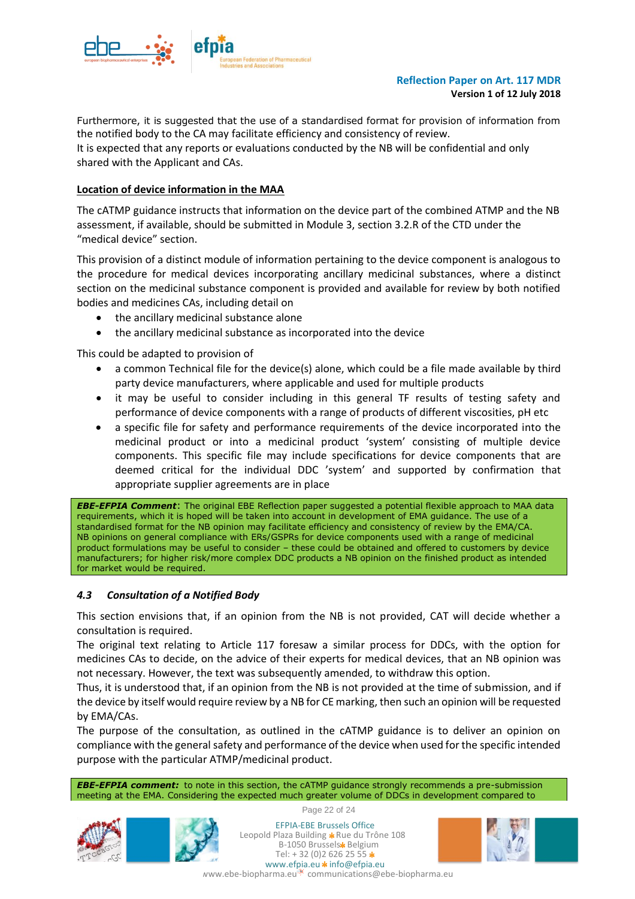

Furthermore, it is suggested that the use of a standardised format for provision of information from the notified body to the CA may facilitate efficiency and consistency of review. It is expected that any reports or evaluations conducted by the NB will be confidential and only shared with the Applicant and CAs.

#### **Location of device information in the MAA**

The cATMP guidance instructs that information on the device part of the combined ATMP and the NB assessment, if available, should be submitted in Module 3, section 3.2.R of the CTD under the "medical device" section.

This provision of a distinct module of information pertaining to the device component is analogous to the procedure for medical devices incorporating ancillary medicinal substances, where a distinct section on the medicinal substance component is provided and available for review by both notified bodies and medicines CAs, including detail on

- the ancillary medicinal substance alone
- the ancillary medicinal substance as incorporated into the device

This could be adapted to provision of

- a common Technical file for the device(s) alone, which could be a file made available by third party device manufacturers, where applicable and used for multiple products
- it may be useful to consider including in this general TF results of testing safety and performance of device components with a range of products of different viscosities, pH etc
- a specific file for safety and performance requirements of the device incorporated into the medicinal product or into a medicinal product 'system' consisting of multiple device components. This specific file may include specifications for device components that are deemed critical for the individual DDC 'system' and supported by confirmation that appropriate supplier agreements are in place

*EBE-EFPIA Comment*: The original EBE Reflection paper suggested a potential flexible approach to MAA data requirements, which it is hoped will be taken into account in development of EMA guidance. The use of a standardised format for the NB opinion may facilitate efficiency and consistency of review by the EMA/CA. NB opinions on general compliance with ERs/GSPRs for device components used with a range of medicinal product formulations may be useful to consider – these could be obtained and offered to customers by device manufacturers; for higher risk/more complex DDC products a NB opinion on the finished product as intended for market would be required.

#### *4.3 Consultation of a Notified Body*

This section envisions that, if an opinion from the NB is not provided, CAT will decide whether a consultation is required.

The original text relating to Article 117 foresaw a similar process for DDCs, with the option for medicines CAs to decide, on the advice of their experts for medical devices, that an NB opinion was not necessary. However, the text was subsequently amended, to withdraw this option.

Thus, it is understood that, if an opinion from the NB is not provided at the time of submission, and if the device by itself would require review by a NB for CE marking, then such an opinion will be requested by EMA/CAs.

The purpose of the consultation, as outlined in the cATMP guidance is to deliver an opinion on compliance with the general safety and performance of the device when used for the specific intended purpose with the particular ATMP/medicinal product.

*EBE-EFPIA comment:* to note in this section, the cATMP guidance strongly recommends a pre-submission meeting at the EMA. Considering the expected much greater volume of DDCs in development compared to





Page 22 of 24 EFPIA-EBE Brussels Office

B-1050 Brussels\* Belgium





Tel:  $+32(0)26262555*$ ww.ebe-biopharma.eu communications@ebe-biopharma.eu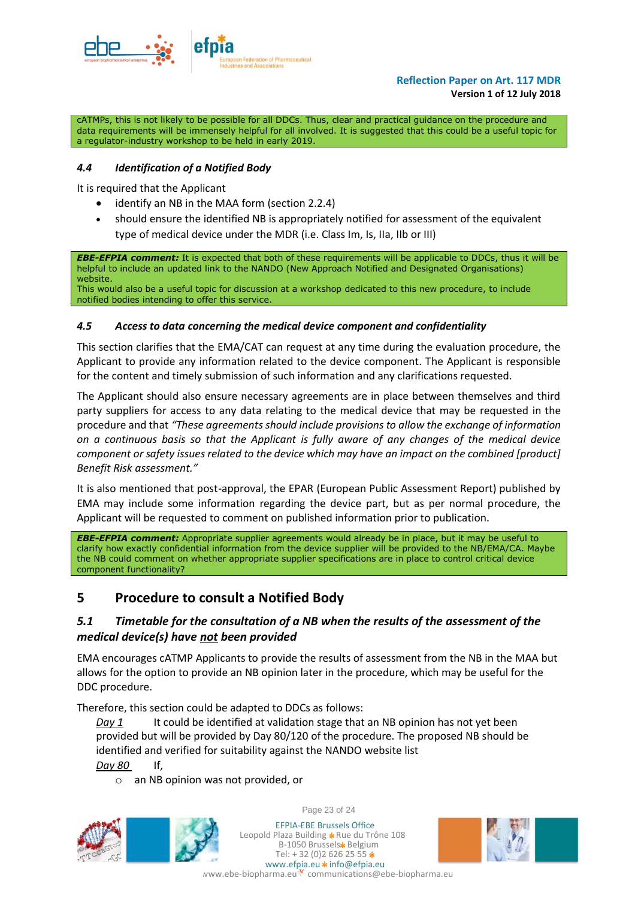

cATMPs, this is not likely to be possible for all DDCs. Thus, clear and practical guidance on the procedure and data requirements will be immensely helpful for all involved. It is suggested that this could be a useful topic for a regulator-industry workshop to be held in early 2019.

#### *4.4 Identification of a Notified Body*

It is required that the Applicant

- identify an NB in the MAA form (section 2.2.4)
- should ensure the identified NB is appropriately notified for assessment of the equivalent type of medical device under the MDR (i.e. Class Im, Is, IIa, IIb or III)

*EBE-EFPIA comment:* It is expected that both of these requirements will be applicable to DDCs, thus it will be helpful to include an updated link to the NANDO (New Approach Notified and Designated Organisations) website.

This would also be a useful topic for discussion at a workshop dedicated to this new procedure, to include notified bodies intending to offer this service.

#### *4.5 Access to data concerning the medical device component and confidentiality*

This section clarifies that the EMA/CAT can request at any time during the evaluation procedure, the Applicant to provide any information related to the device component. The Applicant is responsible for the content and timely submission of such information and any clarifications requested.

The Applicant should also ensure necessary agreements are in place between themselves and third party suppliers for access to any data relating to the medical device that may be requested in the procedure and that *"These agreements should include provisions to allow the exchange of information on a continuous basis so that the Applicant is fully aware of any changes of the medical device component or safety issues related to the device which may have an impact on the combined [product] Benefit Risk assessment."*

It is also mentioned that post-approval, the EPAR (European Public Assessment Report) published by EMA may include some information regarding the device part, but as per normal procedure, the Applicant will be requested to comment on published information prior to publication.

*EBE-EFPIA comment:* Appropriate supplier agreements would already be in place, but it may be useful to clarify how exactly confidential information from the device supplier will be provided to the NB/EMA/CA. Maybe the NB could comment on whether appropriate supplier specifications are in place to control critical device component functionality?

## **5 Procedure to consult a Notified Body**

### *5.1 Timetable for the consultation of a NB when the results of the assessment of the medical device(s) have not been provided*

EMA encourages cATMP Applicants to provide the results of assessment from the NB in the MAA but allows for the option to provide an NB opinion later in the procedure, which may be useful for the DDC procedure.

Therefore, this section could be adapted to DDCs as follows:

*Day 1* It could be identified at validation stage that an NB opinion has not yet been provided but will be provided by Day 80/120 of the procedure. The proposed NB should be identified and verified for suitability against the NANDO website list

*Day 80* If,

o an NB opinion was not provided, or



Page 23 of 24

EFPIA-EBE Brussels Office Leopold Plaza Building \* Rue du Trône 108 B-1050 Brussels\* Belgium Tel:  $+32(0)26262555*$ www.efpia.eu \* info@efpia.eu ww.ebe-biopharma.eu communications@ebe-biopharma.eu